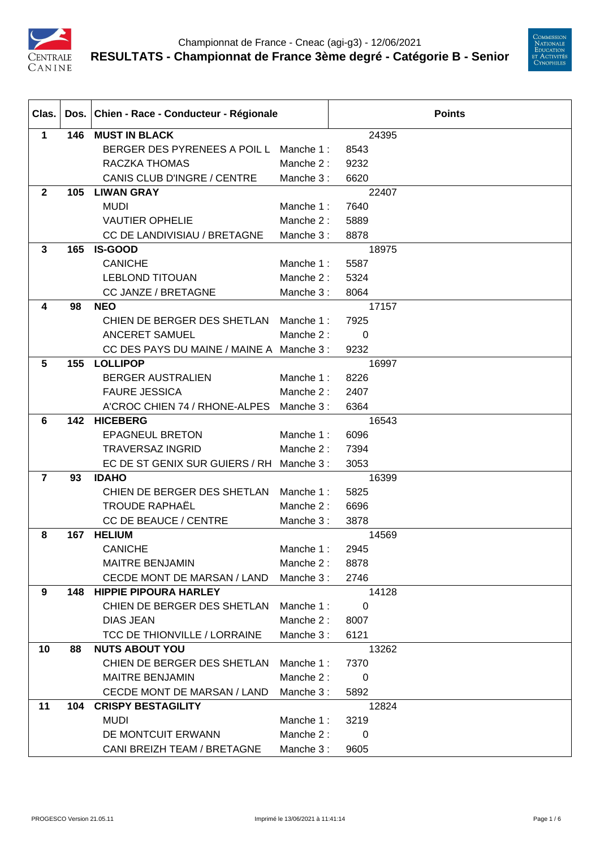



| Clas.          |     | Dos. Chien - Race - Conducteur - Régionale |           | <b>Points</b> |  |  |
|----------------|-----|--------------------------------------------|-----------|---------------|--|--|
| $\mathbf{1}$   | 146 | <b>MUST IN BLACK</b>                       |           | 24395         |  |  |
|                |     | BERGER DES PYRENEES A POIL L               | Manche 1: | 8543          |  |  |
|                |     | RACZKA THOMAS                              | Manche 2: | 9232          |  |  |
|                |     | CANIS CLUB D'INGRE / CENTRE                | Manche 3: | 6620          |  |  |
| $\mathbf{2}$   | 105 | <b>LIWAN GRAY</b>                          |           | 22407         |  |  |
|                |     | <b>MUDI</b>                                | Manche 1: | 7640          |  |  |
|                |     | <b>VAUTIER OPHELIE</b>                     | Manche 2: | 5889          |  |  |
|                |     | CC DE LANDIVISIAU / BRETAGNE               | Manche 3: | 8878          |  |  |
| $\mathbf{3}$   | 165 | <b>IS-GOOD</b>                             |           | 18975         |  |  |
|                |     | <b>CANICHE</b>                             | Manche 1: | 5587          |  |  |
|                |     | <b>LEBLOND TITOUAN</b>                     | Manche 2: | 5324          |  |  |
|                |     | CC JANZE / BRETAGNE                        | Manche 3: | 8064          |  |  |
| 4              | 98  | <b>NEO</b>                                 |           | 17157         |  |  |
|                |     | CHIEN DE BERGER DES SHETLAN                | Manche 1: | 7925          |  |  |
|                |     | <b>ANCERET SAMUEL</b>                      | Manche 2: | $\mathbf 0$   |  |  |
|                |     | CC DES PAYS DU MAINE / MAINE A Manche 3 :  |           | 9232          |  |  |
| $5\phantom{1}$ | 155 | <b>LOLLIPOP</b>                            |           | 16997         |  |  |
|                |     | <b>BERGER AUSTRALIEN</b>                   | Manche 1: | 8226          |  |  |
|                |     | <b>FAURE JESSICA</b>                       | Manche 2: | 2407          |  |  |
|                |     | A'CROC CHIEN 74 / RHONE-ALPES              | Manche 3: | 6364          |  |  |
| 6              | 142 | <b>HICEBERG</b>                            |           | 16543         |  |  |
|                |     | <b>EPAGNEUL BRETON</b>                     | Manche 1: | 6096          |  |  |
|                |     | <b>TRAVERSAZ INGRID</b>                    | Manche 2: | 7394          |  |  |
|                |     | EC DE ST GENIX SUR GUIERS / RH             | Manche 3: | 3053          |  |  |
| $\overline{7}$ | 93  | <b>IDAHO</b>                               |           | 16399         |  |  |
|                |     | CHIEN DE BERGER DES SHETLAN                | Manche 1: | 5825          |  |  |
|                |     | <b>TROUDE RAPHAËL</b>                      | Manche 2: | 6696          |  |  |
|                |     | <b>CC DE BEAUCE / CENTRE</b>               | Manche 3: | 3878          |  |  |
| 8              | 167 | <b>HELIUM</b>                              |           | 14569         |  |  |
|                |     | <b>CANICHE</b>                             | Manche 1: | 2945          |  |  |
|                |     | <b>MAITRE BENJAMIN</b>                     | Manche 2: | 8878          |  |  |
|                |     | CECDE MONT DE MARSAN / LAND                | Manche 3: | 2746          |  |  |
| 9              | 148 | <b>HIPPIE PIPOURA HARLEY</b>               |           | 14128         |  |  |
|                |     | CHIEN DE BERGER DES SHETLAN                | Manche 1: | 0             |  |  |
|                |     | <b>DIAS JEAN</b>                           | Manche 2: | 8007          |  |  |
|                |     | <b>TCC DE THIONVILLE / LORRAINE</b>        | Manche 3: | 6121          |  |  |
| 10             | 88  | <b>NUTS ABOUT YOU</b>                      |           | 13262         |  |  |
|                |     | CHIEN DE BERGER DES SHETLAN                | Manche 1: | 7370          |  |  |
|                |     | <b>MAITRE BENJAMIN</b>                     | Manche 2: | 0             |  |  |
|                |     | CECDE MONT DE MARSAN / LAND                | Manche 3: | 5892          |  |  |
| 11             | 104 | <b>CRISPY BESTAGILITY</b>                  |           | 12824         |  |  |
|                |     | <b>MUDI</b>                                | Manche 1: | 3219          |  |  |
|                |     | DE MONTCUIT ERWANN                         | Manche 2: | 0             |  |  |
|                |     | CANI BREIZH TEAM / BRETAGNE                | Manche 3: | 9605          |  |  |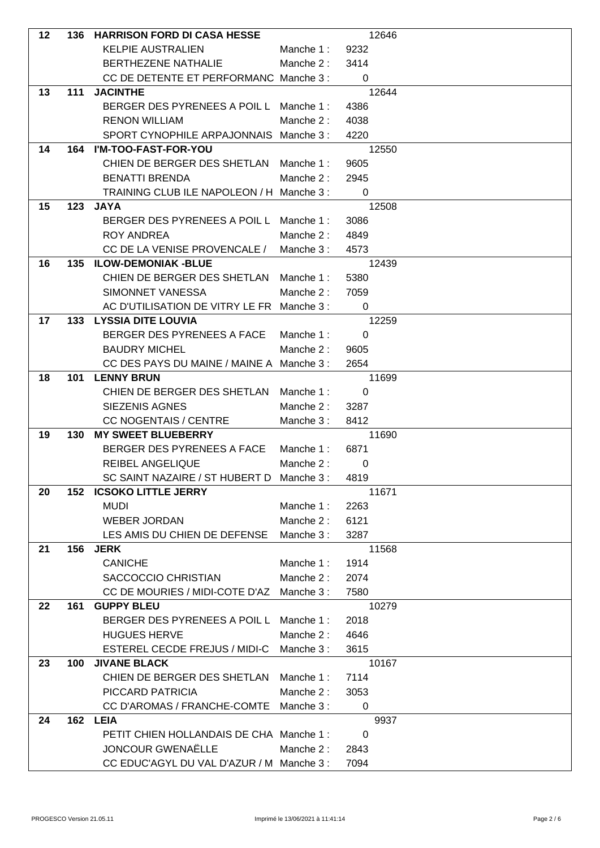| 12 | 136 | <b>HARRISON FORD DI CASA HESSE</b>                        |           | 12646         |  |
|----|-----|-----------------------------------------------------------|-----------|---------------|--|
|    |     | <b>KELPIE AUSTRALIEN</b>                                  | Manche 1: | 9232          |  |
|    |     | <b>BERTHEZENE NATHALIE</b>                                | Manche 2: | 3414          |  |
|    |     | CC DE DETENTE ET PERFORMANC Manche 3 :                    |           | 0             |  |
| 13 | 111 | <b>JACINTHE</b>                                           |           | 12644         |  |
|    |     | BERGER DES PYRENEES A POIL L Manche 1 :                   |           | 4386          |  |
|    |     | <b>RENON WILLIAM</b>                                      | Manche 2: | 4038          |  |
|    |     | SPORT CYNOPHILE ARPAJONNAIS Manche 3:                     |           | 4220          |  |
| 14 | 164 | I'M-TOO-FAST-FOR-YOU                                      |           | 12550         |  |
|    |     | CHIEN DE BERGER DES SHETLAN                               | Manche 1: | 9605          |  |
|    |     | <b>BENATTI BRENDA</b>                                     | Manche 2: | 2945          |  |
|    |     | TRAINING CLUB ILE NAPOLEON / H Manche 3 :                 |           | 0             |  |
| 15 | 123 | <b>JAYA</b>                                               |           | 12508         |  |
|    |     | BERGER DES PYRENEES A POIL L Manche 1:                    |           | 3086          |  |
|    |     | <b>ROY ANDREA</b>                                         | Manche 2: | 4849          |  |
|    |     | CC DE LA VENISE PROVENCALE /                              | Manche 3: | 4573          |  |
| 16 | 135 | <b>ILOW-DEMONIAK-BLUE</b>                                 |           | 12439         |  |
|    |     | CHIEN DE BERGER DES SHETLAN                               | Manche 1: | 5380          |  |
|    |     | SIMONNET VANESSA                                          | Manche 2: | 7059          |  |
|    |     | AC D'UTILISATION DE VITRY LE FR Manche 3 :                |           | 0             |  |
| 17 | 133 | <b>LYSSIA DITE LOUVIA</b>                                 |           | 12259         |  |
|    |     | BERGER DES PYRENEES A FACE                                | Manche 1: | $\mathbf 0$   |  |
|    |     | <b>BAUDRY MICHEL</b>                                      | Manche 2: | 9605          |  |
|    |     | CC DES PAYS DU MAINE / MAINE A Manche 3 :                 |           | 2654          |  |
| 18 | 101 | <b>LENNY BRUN</b>                                         |           | 11699         |  |
|    |     | CHIEN DE BERGER DES SHETLAN                               | Manche 1: | $\mathbf 0$   |  |
|    |     | <b>SIEZENIS AGNES</b>                                     | Manche 2: | 3287          |  |
| 19 | 130 | <b>CC NOGENTAIS / CENTRE</b><br><b>MY SWEET BLUEBERRY</b> | Manche 3: | 8412<br>11690 |  |
|    |     | BERGER DES PYRENEES A FACE                                | Manche 1: | 6871          |  |
|    |     | REIBEL ANGELIQUE                                          | Manche 2: | 0             |  |
|    |     | SC SAINT NAZAIRE / ST HUBERT D Manche 3 :                 |           | 4819          |  |
| 20 | 152 | <b>ICSOKO LITTLE JERRY</b>                                |           | 11671         |  |
|    |     | <b>MUDI</b>                                               | Manche 1: | 2263          |  |
|    |     | <b>WEBER JORDAN</b>                                       | Manche 2: | 6121          |  |
|    |     | LES AMIS DU CHIEN DE DEFENSE                              | Manche 3: | 3287          |  |
| 21 | 156 | <b>JERK</b>                                               |           | 11568         |  |
|    |     | <b>CANICHE</b>                                            | Manche 1: | 1914          |  |
|    |     | SACCOCCIO CHRISTIAN                                       | Manche 2: | 2074          |  |
|    |     | CC DE MOURIES / MIDI-COTE D'AZ Manche 3 :                 |           | 7580          |  |
| 22 | 161 | <b>GUPPY BLEU</b>                                         |           | 10279         |  |
|    |     | BERGER DES PYRENEES A POIL L                              | Manche 1: | 2018          |  |
|    |     | <b>HUGUES HERVE</b>                                       | Manche 2: | 4646          |  |
|    |     | ESTEREL CECDE FREJUS / MIDI-C                             | Manche 3: | 3615          |  |
| 23 | 100 | <b>JIVANE BLACK</b>                                       |           | 10167         |  |
|    |     | CHIEN DE BERGER DES SHETLAN                               | Manche 1: | 7114          |  |
|    |     | PICCARD PATRICIA                                          | Manche 2: | 3053          |  |
|    |     | CC D'AROMAS / FRANCHE-COMTE                               | Manche 3: | 0             |  |
| 24 | 162 | <b>LEIA</b>                                               |           | 9937          |  |
|    |     | PETIT CHIEN HOLLANDAIS DE CHA Manche 1:                   |           | $\mathbf 0$   |  |
|    |     | JONCOUR GWENAËLLE                                         | Manche 2: | 2843          |  |
|    |     | CC EDUC'AGYL DU VAL D'AZUR / M Manche 3 :                 |           | 7094          |  |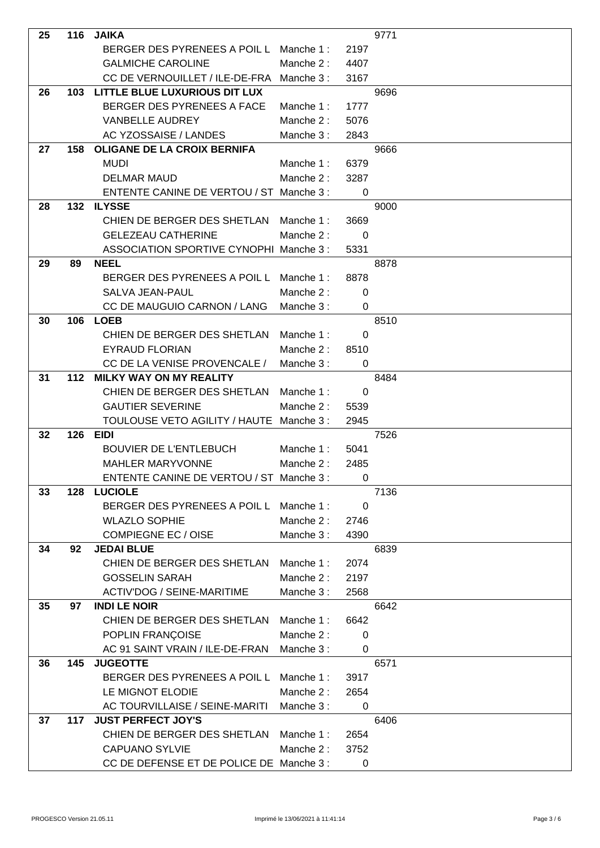| 25 |       | 116 JAIKA                                 |           |                          | 9771 |
|----|-------|-------------------------------------------|-----------|--------------------------|------|
|    |       | BERGER DES PYRENEES A POIL L Manche 1:    |           | 2197                     |      |
|    |       | <b>GALMICHE CAROLINE</b>                  | Manche 2: | 4407                     |      |
|    |       | CC DE VERNOUILLET / ILE-DE-FRA Manche 3 : |           | 3167                     |      |
| 26 | 103   | LITTLE BLUE LUXURIOUS DIT LUX             |           |                          | 9696 |
|    |       | BERGER DES PYRENEES A FACE                | Manche 1: | 1777                     |      |
|    |       | <b>VANBELLE AUDREY</b>                    | Manche 2: | 5076                     |      |
|    |       | AC YZOSSAISE / LANDES                     | Manche 3: | 2843                     |      |
| 27 | 158   | OLIGANE DE LA CROIX BERNIFA               |           |                          | 9666 |
|    |       | <b>MUDI</b>                               | Manche 1: | 6379                     |      |
|    |       | <b>DELMAR MAUD</b>                        | Manche 2: | 3287                     |      |
|    |       | ENTENTE CANINE DE VERTOU / ST Manche 3 :  |           | 0                        |      |
| 28 | 132   | ILYSSE                                    |           |                          | 9000 |
|    |       | CHIEN DE BERGER DES SHETLAN               | Manche 1: | 3669                     |      |
|    |       | <b>GELEZEAU CATHERINE</b>                 | Manche 2: | 0                        |      |
|    |       | ASSOCIATION SPORTIVE CYNOPHI Manche 3:    |           | 5331                     |      |
| 29 | 89    | <b>NEEL</b>                               |           |                          | 8878 |
|    |       | BERGER DES PYRENEES A POIL L Manche 1:    |           | 8878                     |      |
|    |       | SALVA JEAN-PAUL                           | Manche 2: | 0                        |      |
|    |       | CC DE MAUGUIO CARNON / LANG               | Manche 3: | $\mathbf 0$              |      |
| 30 | 106   | <b>LOEB</b>                               |           |                          | 8510 |
|    |       | CHIEN DE BERGER DES SHETLAN               | Manche 1: | 0                        |      |
|    |       | <b>EYRAUD FLORIAN</b>                     | Manche 2: | 8510                     |      |
|    |       | CC DE LA VENISE PROVENCALE /              | Manche 3: | 0                        |      |
| 31 | $112$ | <b>MILKY WAY ON MY REALITY</b>            |           |                          | 8484 |
|    |       | CHIEN DE BERGER DES SHETLAN               | Manche 1: | 0                        |      |
|    |       | <b>GAUTIER SEVERINE</b>                   | Manche 2: | 5539                     |      |
|    |       | TOULOUSE VETO AGILITY / HAUTE Manche 3 :  |           | 2945                     |      |
| 32 | 126   | <b>EIDI</b>                               |           |                          | 7526 |
|    |       | <b>BOUVIER DE L'ENTLEBUCH</b>             | Manche 1: | 5041                     |      |
|    |       | <b>MAHLER MARYVONNE</b>                   | Manche 2: | 2485                     |      |
|    |       | ENTENTE CANINE DE VERTOU / ST Manche 3 :  |           | $\overline{\phantom{0}}$ |      |
| 33 | 128   | <b>LUCIOLE</b>                            |           |                          | 7136 |
|    |       | BERGER DES PYRENEES A POIL L              | Manche 1: | 0                        |      |
|    |       | <b>WLAZLO SOPHIE</b>                      | Manche 2: | 2746                     |      |
|    |       | <b>COMPIEGNE EC / OISE</b>                | Manche 3: | 4390                     |      |
| 34 | 92    | <b>JEDAI BLUE</b>                         |           |                          | 6839 |
|    |       | CHIEN DE BERGER DES SHETLAN               | Manche 1: | 2074                     |      |
|    |       | <b>GOSSELIN SARAH</b>                     | Manche 2: | 2197                     |      |
|    |       | <b>ACTIV'DOG / SEINE-MARITIME</b>         | Manche 3: | 2568                     |      |
| 35 | 97    | <b>INDI LE NOIR</b>                       |           |                          | 6642 |
|    |       | CHIEN DE BERGER DES SHETLAN               | Manche 1: | 6642                     |      |
|    |       | POPLIN FRANÇOISE                          | Manche 2: | $\mathbf 0$              |      |
|    |       | AC 91 SAINT VRAIN / ILE-DE-FRAN           | Manche 3: | 0                        |      |
| 36 | 145   | <b>JUGEOTTE</b>                           |           |                          | 6571 |
|    |       | BERGER DES PYRENEES A POIL L              | Manche 1: | 3917                     |      |
|    |       | LE MIGNOT ELODIE                          | Manche 2: | 2654                     |      |
|    |       | AC TOURVILLAISE / SEINE-MARITI            | Manche 3: | $\mathbf 0$              |      |
| 37 | 117   | <b>JUST PERFECT JOY'S</b>                 |           |                          | 6406 |
|    |       | CHIEN DE BERGER DES SHETLAN               | Manche 1: | 2654                     |      |
|    |       | <b>CAPUANO SYLVIE</b>                     | Manche 2: | 3752                     |      |
|    |       | CC DE DEFENSE ET DE POLICE DE Manche 3 :  |           | $\mathbf 0$              |      |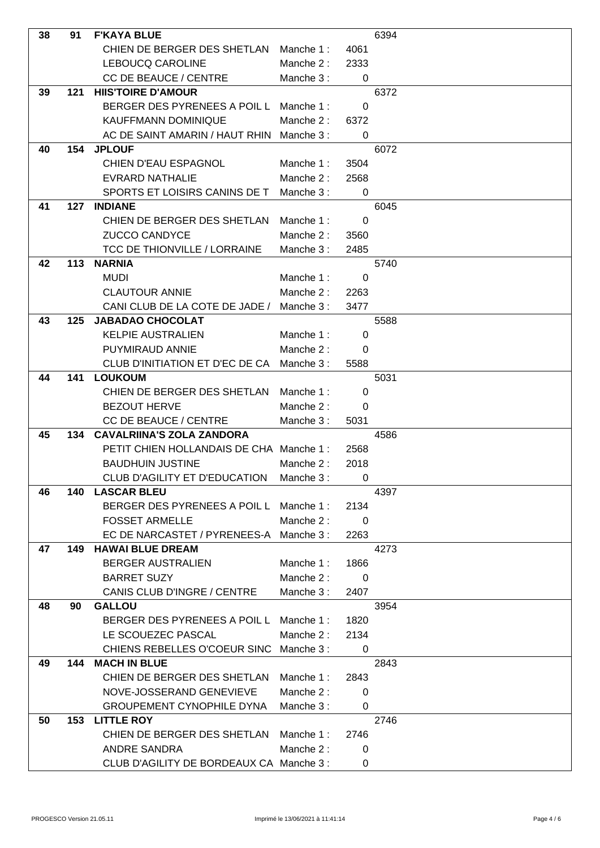| 38 | 91  | <b>F'KAYA BLUE</b>                               |           |                          | 6394 |
|----|-----|--------------------------------------------------|-----------|--------------------------|------|
|    |     | CHIEN DE BERGER DES SHETLAN Manche 1:            |           | 4061                     |      |
|    |     | LEBOUCQ CAROLINE                                 | Manche 2: | 2333                     |      |
|    |     | <b>CC DE BEAUCE / CENTRE</b>                     | Manche 3: | $\mathbf 0$              |      |
| 39 | 121 | <b>HIIS'TOIRE D'AMOUR</b>                        |           |                          | 6372 |
|    |     | BERGER DES PYRENEES A POIL L Manche 1 :          |           | $\Omega$                 |      |
|    |     | <b>KAUFFMANN DOMINIQUE</b>                       | Manche 2: | 6372                     |      |
|    |     | AC DE SAINT AMARIN / HAUT RHIN Manche 3 :        |           | 0                        |      |
| 40 | 154 | <b>JPLOUF</b>                                    |           |                          | 6072 |
|    |     | <b>CHIEN D'EAU ESPAGNOL</b>                      | Manche 1: | 3504                     |      |
|    |     | <b>EVRARD NATHALIE</b>                           | Manche 2: | 2568                     |      |
|    |     | SPORTS ET LOISIRS CANINS DE T                    | Manche 3: | $\overline{0}$           |      |
| 41 | 127 | <b>INDIANE</b>                                   |           |                          | 6045 |
|    |     | CHIEN DE BERGER DES SHETLAN                      | Manche 1: | 0                        |      |
|    |     | <b>ZUCCO CANDYCE</b>                             | Manche 2: | 3560                     |      |
|    |     | <b>TCC DE THIONVILLE / LORRAINE</b>              | Manche 3: | 2485                     |      |
| 42 | 113 | <b>NARNIA</b>                                    |           |                          | 5740 |
|    |     | <b>MUDI</b>                                      | Manche 1: | $\mathbf 0$              |      |
|    |     | <b>CLAUTOUR ANNIE</b>                            | Manche 2: | 2263                     |      |
|    |     | CANI CLUB DE LA COTE DE JADE /                   | Manche 3: | 3477                     |      |
| 43 | 125 | <b>JABADAO CHOCOLAT</b>                          |           |                          | 5588 |
|    |     | <b>KELPIE AUSTRALIEN</b>                         | Manche 1: | 0                        |      |
|    |     | PUYMIRAUD ANNIE                                  | Manche 2: | $\Omega$                 |      |
|    |     | CLUB D'INITIATION ET D'EC DE CA                  | Manche 3: | 5588                     |      |
| 44 | 141 | <b>LOUKOUM</b>                                   |           |                          | 5031 |
|    |     | CHIEN DE BERGER DES SHETLAN                      | Manche 1: | $\Omega$                 |      |
|    |     | <b>BEZOUT HERVE</b>                              | Manche 2: | $\Omega$                 |      |
|    |     | <b>CC DE BEAUCE / CENTRE</b>                     | Manche 3: | 5031                     |      |
| 45 | 134 | <b>CAVALRIINA'S ZOLA ZANDORA</b>                 |           |                          | 4586 |
|    |     | PETIT CHIEN HOLLANDAIS DE CHA Manche 1:          |           | 2568                     |      |
|    |     | <b>BAUDHUIN JUSTINE</b>                          | Manche 2: | 2018                     |      |
|    |     | CLUB D'AGILITY ET D'EDUCATION Manche 3 :         |           | $\overline{\phantom{0}}$ |      |
| 46 | 140 | <b>LASCAR BLEU</b>                               |           |                          | 4397 |
|    |     | BERGER DES PYRENEES A POIL L                     | Manche 1: | 2134                     |      |
|    |     | <b>FOSSET ARMELLE</b>                            | Manche 2: | 0                        |      |
|    |     | EC DE NARCASTET / PYRENEES-A Manche 3 :          |           | 2263                     |      |
| 47 | 149 | <b>HAWAI BLUE DREAM</b>                          |           |                          | 4273 |
|    |     | <b>BERGER AUSTRALIEN</b>                         | Manche 1: | 1866                     |      |
|    |     | <b>BARRET SUZY</b>                               | Manche 2: | 0                        |      |
|    |     | <b>CANIS CLUB D'INGRE / CENTRE</b>               | Manche 3: | 2407                     |      |
| 48 | 90  | <b>GALLOU</b>                                    |           |                          | 3954 |
|    |     | BERGER DES PYRENEES A POIL L                     | Manche 1: | 1820                     |      |
|    |     | LE SCOUEZEC PASCAL                               | Manche 2: | 2134                     |      |
|    |     | CHIENS REBELLES O'COEUR SINC<br>144 MACH IN BLUE | Manche 3: | 0                        |      |
| 49 |     | CHIEN DE BERGER DES SHETLAN                      | Manche 1: | 2843                     | 2843 |
|    |     | NOVE-JOSSERAND GENEVIEVE                         | Manche 2: | $\Omega$                 |      |
|    |     | <b>GROUPEMENT CYNOPHILE DYNA</b>                 | Manche 3: | 0                        |      |
| 50 |     | 153 LITTLE ROY                                   |           |                          | 2746 |
|    |     | CHIEN DE BERGER DES SHETLAN                      | Manche 1: | 2746                     |      |
|    |     | <b>ANDRE SANDRA</b>                              | Manche 2: | 0                        |      |
|    |     | CLUB D'AGILITY DE BORDEAUX CA Manche 3 :         |           | 0                        |      |
|    |     |                                                  |           |                          |      |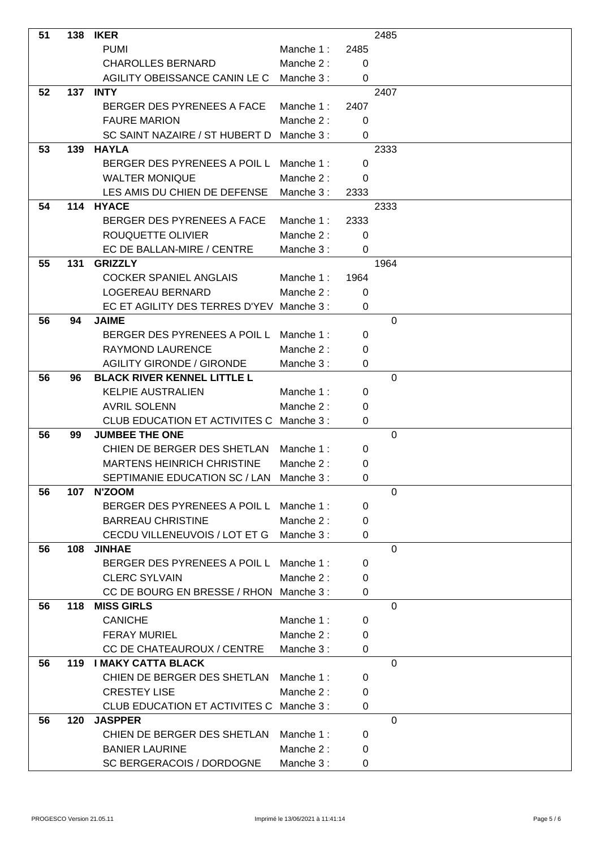| 51 |     | <b>138 IKER</b>                           |           |                | 2485           |  |
|----|-----|-------------------------------------------|-----------|----------------|----------------|--|
|    |     | <b>PUMI</b>                               | Manche 1: | 2485           |                |  |
|    |     | <b>CHAROLLES BERNARD</b>                  | Manche 2: | 0              |                |  |
|    |     | AGILITY OBEISSANCE CANIN LE C             | Manche 3: | 0              |                |  |
| 52 |     | <b>137 INTY</b>                           |           |                | 2407           |  |
|    |     | BERGER DES PYRENEES A FACE                | Manche 1: | 2407           |                |  |
|    |     | <b>FAURE MARION</b>                       | Manche 2: | 0              |                |  |
|    |     | SC SAINT NAZAIRE / ST HUBERT D            | Manche 3: | 0              |                |  |
| 53 | 139 | <b>HAYLA</b>                              |           |                | 2333           |  |
|    |     | BERGER DES PYRENEES A POIL L Manche 1:    |           | 0              |                |  |
|    |     | <b>WALTER MONIQUE</b>                     | Manche 2: | 0              |                |  |
|    |     | LES AMIS DU CHIEN DE DEFENSE              | Manche 3: | 2333           |                |  |
| 54 | 114 | <b>HYACE</b>                              |           |                | 2333           |  |
|    |     | BERGER DES PYRENEES A FACE                | Manche 1: | 2333           |                |  |
|    |     | ROUQUETTE OLIVIER                         | Manche 2: | 0              |                |  |
|    |     | EC DE BALLAN-MIRE / CENTRE                | Manche 3: | $\overline{0}$ |                |  |
| 55 | 131 | <b>GRIZZLY</b>                            |           |                | 1964           |  |
|    |     | <b>COCKER SPANIEL ANGLAIS</b>             | Manche 1: | 1964           |                |  |
|    |     | LOGEREAU BERNARD                          | Manche 2: | 0              |                |  |
|    |     | EC ET AGILITY DES TERRES D'YEV Manche 3 : |           | 0              |                |  |
| 56 | 94  | <b>JAIME</b>                              |           |                | 0              |  |
|    |     | BERGER DES PYRENEES A POIL L              | Manche 1: | 0              |                |  |
|    |     | <b>RAYMOND LAURENCE</b>                   | Manche 2: | 0              |                |  |
|    |     | <b>AGILITY GIRONDE / GIRONDE</b>          | Manche 3: | 0              |                |  |
| 56 | 96  | <b>BLACK RIVER KENNEL LITTLE L</b>        |           |                | 0              |  |
|    |     | <b>KELPIE AUSTRALIEN</b>                  | Manche 1: | 0              |                |  |
|    |     | <b>AVRIL SOLENN</b>                       | Manche 2: | 0              |                |  |
|    |     | CLUB EDUCATION ET ACTIVITES C             | Manche 3: | 0              |                |  |
| 56 | 99  | <b>JUMBEE THE ONE</b>                     |           |                | $\overline{0}$ |  |
|    |     | CHIEN DE BERGER DES SHETLAN Manche 1:     |           | 0              |                |  |
|    |     | <b>MARTENS HEINRICH CHRISTINE</b>         | Manche 2: | 0              |                |  |
|    |     | SEPTIMANIE EDUCATION SC / LAN Manche 3 :  |           | 0              |                |  |
| 56 | 107 | N'ZOOM                                    |           |                | $\mathbf 0$    |  |
|    |     | BERGER DES PYRENEES A POIL L Manche 1:    |           | 0              |                |  |
|    |     | <b>BARREAU CHRISTINE</b>                  | Manche 2: | 0              |                |  |
|    |     | CECDU VILLENEUVOIS / LOT ET G             | Manche 3: | 0              |                |  |
| 56 |     | 108 JINHAE                                |           |                | $\Omega$       |  |
|    |     | BERGER DES PYRENEES A POIL L Manche 1:    |           | 0              |                |  |
|    |     | <b>CLERC SYLVAIN</b>                      | Manche 2: | 0              |                |  |
|    |     | CC DE BOURG EN BRESSE / RHON Manche 3:    |           | 0              |                |  |
| 56 | 118 | <b>MISS GIRLS</b>                         |           |                | $\Omega$       |  |
|    |     | <b>CANICHE</b>                            | Manche 1: | 0              |                |  |
|    |     | <b>FERAY MURIEL</b>                       | Manche 2: | 0              |                |  |
|    |     | CC DE CHATEAUROUX / CENTRE                | Manche 3: | 0              |                |  |
| 56 |     | 119 I MAKY CATTA BLACK                    |           |                | $\mathbf 0$    |  |
|    |     | CHIEN DE BERGER DES SHETLAN Manche 1:     |           | 0              |                |  |
|    |     | <b>CRESTEY LISE</b>                       | Manche 2: | 0              |                |  |
|    |     | CLUB EDUCATION ET ACTIVITES C Manche 3 :  |           | 0              |                |  |
| 56 | 120 | <b>JASPPER</b>                            |           |                | $\mathbf 0$    |  |
|    |     | CHIEN DE BERGER DES SHETLAN               | Manche 1: | 0              |                |  |
|    |     | <b>BANIER LAURINE</b>                     | Manche 2: | 0              |                |  |
|    |     | SC BERGERACOIS / DORDOGNE                 | Manche 3: | 0              |                |  |